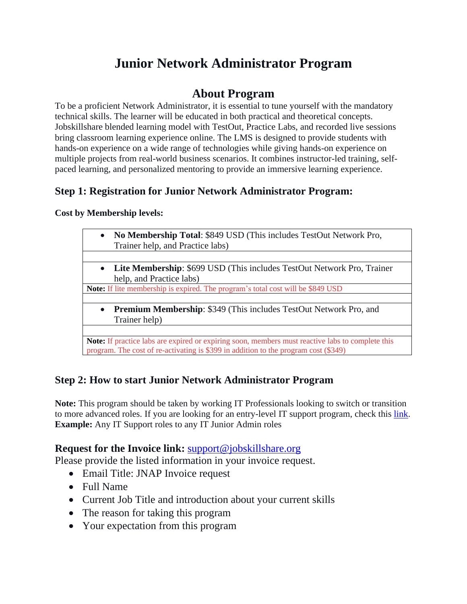# **Junior Network Administrator Program**

# **About Program**

To be a proficient Network Administrator, it is essential to tune yourself with the mandatory technical skills. The learner will be educated in both practical and theoretical concepts. Jobskillshare blended learning model with TestOut, Practice Labs, and recorded live sessions bring classroom learning experience online. The LMS is designed to provide students with hands-on experience on a wide range of technologies while giving hands-on experience on multiple projects from real-world business scenarios. It combines instructor-led training, selfpaced learning, and personalized mentoring to provide an immersive learning experience.

# **Step 1: Registration for Junior Network Administrator Program:**

## **Cost by Membership levels:**

| $\bullet$ | No Membership Total: \$849 USD (This includes TestOut Network Pro,              |
|-----------|---------------------------------------------------------------------------------|
|           | Trainer help, and Practice labs)                                                |
|           |                                                                                 |
|           | • Lite Membership: \$699 USD (This includes TestOut Network Pro, Trainer        |
|           | help, and Practice labs)                                                        |
|           | Note: If lite membership is expired. The program's total cost will be \$849 USD |
|           |                                                                                 |
|           | • Premium Membership: \$349 (This includes TestOut Network Pro, and             |
|           | Trainer help)                                                                   |

**Proximity** expiring soon, members must reactive labels to program. The cost of re-activating is \$399 in addition to the program cost (\$349)

# **Step 2: How to start Junior Network Administrator Program**

**Note:** This program should be taken by working IT Professionals looking to switch or transition to more advanced roles. If you are looking for an entry-level IT support program, check this [link.](https://www.jobskillshare.org/it-pro-skills-development-program/) **Example:** Any IT Support roles to any IT Junior Admin roles

# **Request for the Invoice link:** [support@jobskillshare.org](mailto:support@jobskillshare.org)

Please provide the listed information in your invoice request.

- Email Title: JNAP Invoice request
- Full Name
- Current Job Title and introduction about your current skills
- The reason for taking this program
- Your expectation from this program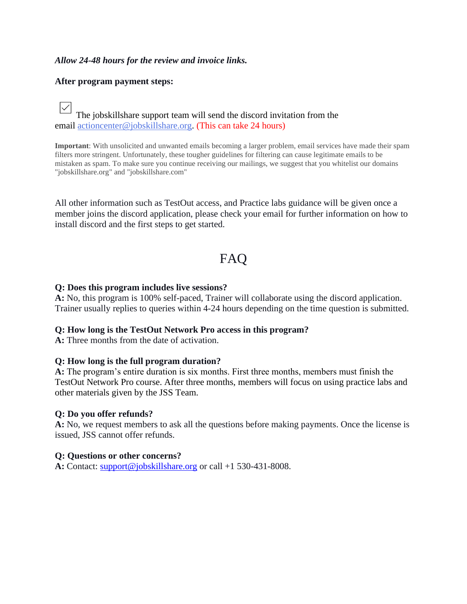#### *Allow 24-48 hours for the review and invoice links.*

#### **After program payment steps:**

 $\vee$ The jobskillshare support team will send the discord invitation from the email [actioncenter@jobskillshare.org.](mailto:actioncenter@jobskillshare.org) (This can take 24 hours)

**Important**: With unsolicited and unwanted emails becoming a larger problem, email services have made their spam filters more stringent. Unfortunately, these tougher guidelines for filtering can cause legitimate emails to be mistaken as spam. To make sure you continue receiving our mailings, we suggest that you whitelist our domains "jobskillshare.org" and "jobskillshare.com"

All other information such as TestOut access, and Practice labs guidance will be given once a member joins the discord application, please check your email for further information on how to install discord and the first steps to get started.

# FAQ

#### **Q: Does this program includes live sessions?**

**A:** No, this program is 100% self-paced, Trainer will collaborate using the discord application. Trainer usually replies to queries within 4-24 hours depending on the time question is submitted.

#### **Q: How long is the TestOut Network Pro access in this program?**

**A:** Three months from the date of activation.

#### **Q: How long is the full program duration?**

**A:** The program's entire duration is six months. First three months, members must finish the TestOut Network Pro course. After three months, members will focus on using practice labs and other materials given by the JSS Team.

#### **Q: Do you offer refunds?**

**A:** No, we request members to ask all the questions before making payments. Once the license is issued, JSS cannot offer refunds.

#### **Q: Questions or other concerns?**

**A:** Contact: [support@jobskillshare.org](mailto:support@jobskillshare.org) or call +1 530-431-8008.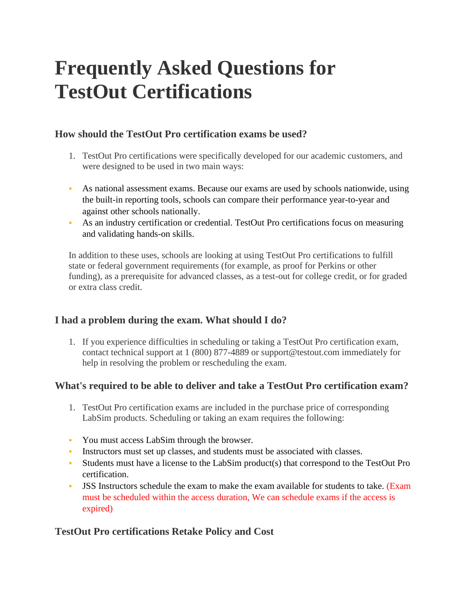# **Frequently Asked Questions for TestOut Certifications**

# **How should the TestOut Pro certification exams be used?**

- 1. TestOut Pro certifications were specifically developed for our academic customers, and were designed to be used in two main ways:
- As national assessment exams. Because our exams are used by schools nationwide, using the built-in reporting tools, schools can compare their performance year-to-year and against other schools nationally.
- As an industry certification or credential. TestOut Pro certifications focus on measuring and validating hands-on skills.

In addition to these uses, schools are looking at using TestOut Pro certifications to fulfill state or federal government requirements (for example, as proof for Perkins or other funding), as a prerequisite for advanced classes, as a test-out for college credit, or for graded or extra class credit.

# **I had a problem during the exam. What should I do?**

1. If you experience difficulties in scheduling or taking a TestOut Pro certification exam, contact technical support at 1 (800) 877-4889 or support@testout.com immediately for help in resolving the problem or rescheduling the exam.

# **What's required to be able to deliver and take a TestOut Pro certification exam?**

- 1. TestOut Pro certification exams are included in the purchase price of corresponding LabSim products. Scheduling or taking an exam requires the following:
- You must access LabSim through the browser.
- Instructors must set up classes, and students must be associated with classes.
- Students must have a license to the LabSim product(s) that correspond to the TestOut Pro certification.
- JSS Instructors schedule the exam to make the exam available for students to take. (Exam must be scheduled within the access duration, We can schedule exams if the access is expired)

# **TestOut Pro certifications Retake Policy and Cost**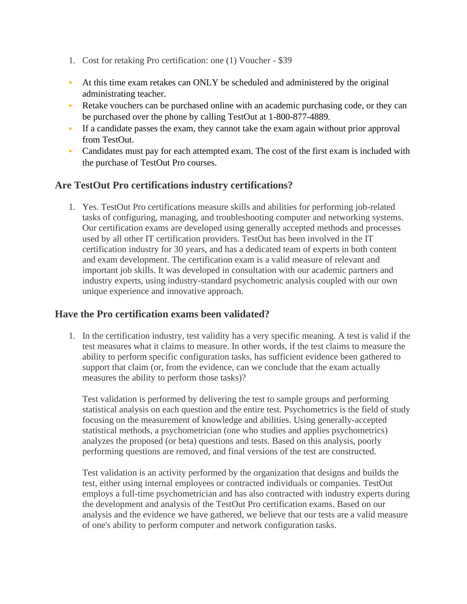- 1. Cost for retaking Pro certification: one (1) Voucher \$39
- At this time exam retakes can ONLY be scheduled and administered by the original administrating teacher.
- Retake vouchers can be purchased online with an academic purchasing code, or they can be purchased over the phone by calling TestOut at 1-800-877-4889.
- If a candidate passes the exam, they cannot take the exam again without prior approval from TestOut.
- Candidates must pay for each attempted exam. The cost of the first exam is included with the purchase of TestOut Pro courses.

# **Are TestOut Pro certifications industry certifications?**

1. Yes. TestOut Pro certifications measure skills and abilities for performing job-related tasks of configuring, managing, and troubleshooting computer and networking systems. Our certification exams are developed using generally accepted methods and processes used by all other IT certification providers. TestOut has been involved in the IT certification industry for 30 years, and has a dedicated team of experts in both content and exam development. The certification exam is a valid measure of relevant and important job skills. It was developed in consultation with our academic partners and industry experts, using industry-standard psychometric analysis coupled with our own unique experience and innovative approach.

# **Have the Pro certification exams been validated?**

1. In the certification industry, test validity has a very specific meaning. A test is valid if the test measures what it claims to measure. In other words, if the test claims to measure the ability to perform specific configuration tasks, has sufficient evidence been gathered to support that claim (or, from the evidence, can we conclude that the exam actually measures the ability to perform those tasks)?

Test validation is performed by delivering the test to sample groups and performing statistical analysis on each question and the entire test. Psychometrics is the field of study focusing on the measurement of knowledge and abilities. Using generally-accepted statistical methods, a psychometrician (one who studies and applies psychometrics) analyzes the proposed (or beta) questions and tests. Based on this analysis, poorly performing questions are removed, and final versions of the test are constructed.

Test validation is an activity performed by the organization that designs and builds the test, either using internal employees or contracted individuals or companies. TestOut employs a full-time psychometrician and has also contracted with industry experts during the development and analysis of the TestOut Pro certification exams. Based on our analysis and the evidence we have gathered, we believe that our tests are a valid measure of one's ability to perform computer and network configuration tasks.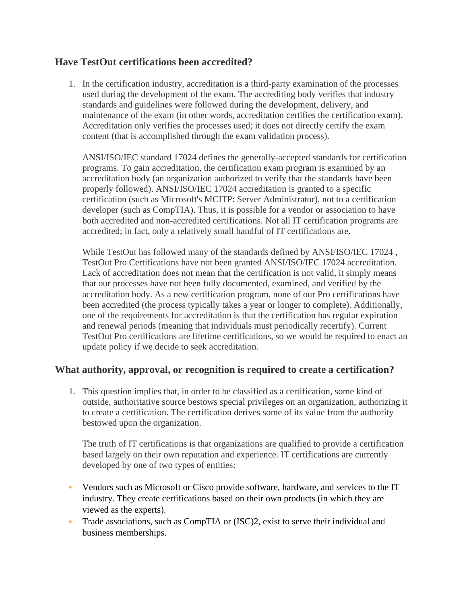# **Have TestOut certifications been accredited?**

1. In the certification industry, accreditation is a third-party examination of the processes used during the development of the exam. The accrediting body verifies that industry standards and guidelines were followed during the development, delivery, and maintenance of the exam (in other words, accreditation certifies the certification exam). Accreditation only verifies the processes used; it does not directly certify the exam content (that is accomplished through the exam validation process).

ANSI/ISO/IEC standard 17024 defines the generally-accepted standards for certification programs. To gain accreditation, the certification exam program is examined by an accreditation body (an organization authorized to verify that the standards have been properly followed). ANSI/ISO/IEC 17024 accreditation is granted to a specific certification (such as Microsoft's MCITP: Server Administrator), not to a certification developer (such as CompTIA). Thus, it is possible for a vendor or association to have both accredited and non-accredited certifications. Not all IT certification programs are accredited; in fact, only a relatively small handful of IT certifications are.

While TestOut has followed many of the standards defined by ANSI/ISO/IEC 17024 , TestOut Pro Certifications have not been granted ANSI/ISO/IEC 17024 accreditation. Lack of accreditation does not mean that the certification is not valid, it simply means that our processes have not been fully documented, examined, and verified by the accreditation body. As a new certification program, none of our Pro certifications have been accredited (the process typically takes a year or longer to complete). Additionally, one of the requirements for accreditation is that the certification has regular expiration and renewal periods (meaning that individuals must periodically recertify). Current TestOut Pro certifications are lifetime certifications, so we would be required to enact an update policy if we decide to seek accreditation.

# **What authority, approval, or recognition is required to create a certification?**

1. This question implies that, in order to be classified as a certification, some kind of outside, authoritative source bestows special privileges on an organization, authorizing it to create a certification. The certification derives some of its value from the authority bestowed upon the organization.

The truth of IT certifications is that organizations are qualified to provide a certification based largely on their own reputation and experience. IT certifications are currently developed by one of two types of entities:

- Vendors such as Microsoft or Cisco provide software, hardware, and services to the IT industry. They create certifications based on their own products (in which they are viewed as the experts).
- Trade associations, such as CompTIA or (ISC)2, exist to serve their individual and business memberships.